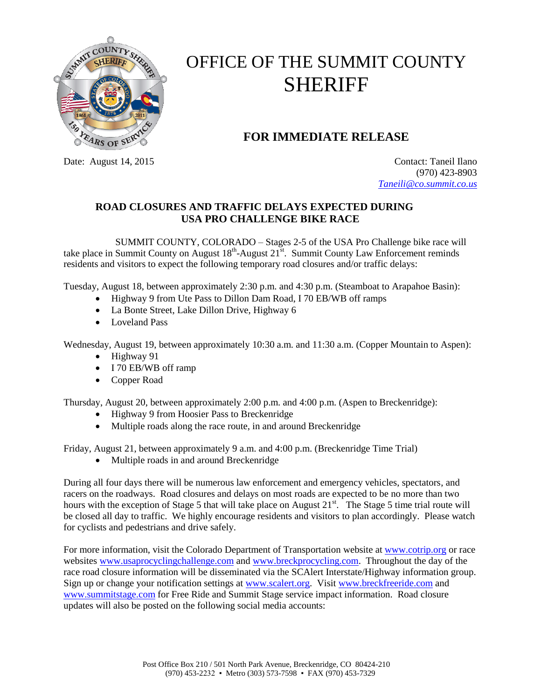

## OFFICE OF THE SUMMIT COUNTY SHERIFF

## **FOR IMMEDIATE RELEASE**

Date: August 14, 2015 Contact: Taneil Ilano (970) 423-8903 *[Taneili@co.summit.co.us](mailto:Taneili@co.summit.co.us)*

## **ROAD CLOSURES AND TRAFFIC DELAYS EXPECTED DURING USA PRO CHALLENGE BIKE RACE**

SUMMIT COUNTY, COLORADO – Stages 2-5 of the USA Pro Challenge bike race will take place in Summit County on August  $18^{th}$ -August  $21^{st}$ . Summit County Law Enforcement reminds residents and visitors to expect the following temporary road closures and/or traffic delays:

Tuesday, August 18, between approximately 2:30 p.m. and 4:30 p.m. (Steamboat to Arapahoe Basin):

- Highway 9 from Ute Pass to Dillon Dam Road, I 70 EB/WB off ramps
- La Bonte Street, Lake Dillon Drive, Highway 6
- Loveland Pass

Wednesday, August 19, between approximately 10:30 a.m. and 11:30 a.m. (Copper Mountain to Aspen):

- $\bullet$  Highway 91
- I 70 EB/WB off ramp
- Copper Road

Thursday, August 20, between approximately 2:00 p.m. and 4:00 p.m. (Aspen to Breckenridge):

- Highway 9 from Hoosier Pass to Breckenridge
- Multiple roads along the race route, in and around Breckenridge

Friday, August 21, between approximately 9 a.m. and 4:00 p.m. (Breckenridge Time Trial)

Multiple roads in and around Breckenridge

During all four days there will be numerous law enforcement and emergency vehicles, spectators, and racers on the roadways. Road closures and delays on most roads are expected to be no more than two hours with the exception of Stage 5 that will take place on August 21<sup>st</sup>. The Stage 5 time trial route will be closed all day to traffic. We highly encourage residents and visitors to plan accordingly. Please watch for cyclists and pedestrians and drive safely.

For more information, visit the Colorado Department of Transportation website at [www.cotrip.org](http://www.cotrip.org/) or race website[s www.usaprocyclingchallenge.com](http://www.usaprocyclingchallenge.com/) and [www.breckprocycling.com.](http://www.breckprocycling.com/) Throughout the day of the race road closure information will be disseminated via the SCAlert Interstate/Highway information group. Sign up or change your notification settings at [www.scalert.org.](http://www.scalert.org/) Visit [www.breckfreeride.com](http://www.breckfreeride.com/) and [www.summitstage.com](http://www.summitstage.com/) for Free Ride and Summit Stage service impact information. Road closure updates will also be posted on the following social media accounts: